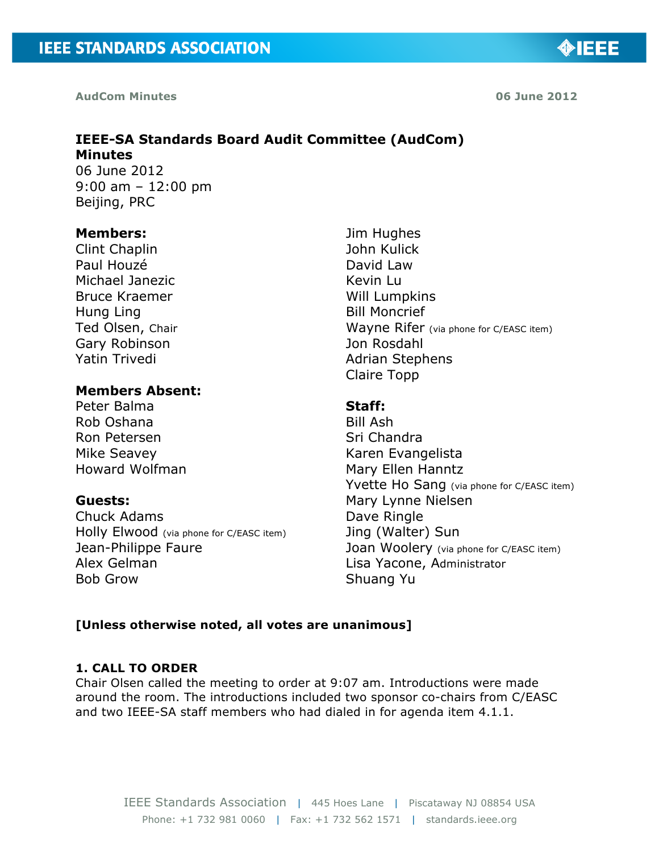**AudCom Minutes 06 June 2012**

## **IEEE-SA Standards Board Audit Committee (AudCom) Minutes**  06 June 2012

9:00 am – 12:00 pm Beijing, PRC

## **Members:**

Clint Chaplin Paul Houzé Michael Janezic Bruce Kraemer Hung Ling Ted Olsen, Chair Gary Robinson Yatin Trivedi

# **Members Absent:**

Peter Balma Rob Oshana Ron Petersen Mike Seavey Howard Wolfman

# **Guests:**

Chuck Adams Holly Elwood (via phone for C/EASC item) Jean-Philippe Faure Alex Gelman Bob Grow

Jim Hughes John Kulick David Law Kevin Lu Will Lumpkins Bill Moncrief Wayne Rifer (via phone for C/EASC item) Jon Rosdahl Adrian Stephens Claire Topp

## **Staff:**

Bill Ash Sri Chandra Karen Evangelista Mary Ellen Hanntz Yvette Ho Sang (via phone for C/EASC item) Mary Lynne Nielsen Dave Ringle Jing (Walter) Sun Joan Woolery (via phone for C/EASC item) Lisa Yacone, Administrator Shuang Yu

## **[Unless otherwise noted, all votes are unanimous]**

# **1. CALL TO ORDER**

Chair Olsen called the meeting to order at 9:07 am. Introductions were made around the room. The introductions included two sponsor co-chairs from C/EASC and two IEEE-SA staff members who had dialed in for agenda item 4.1.1.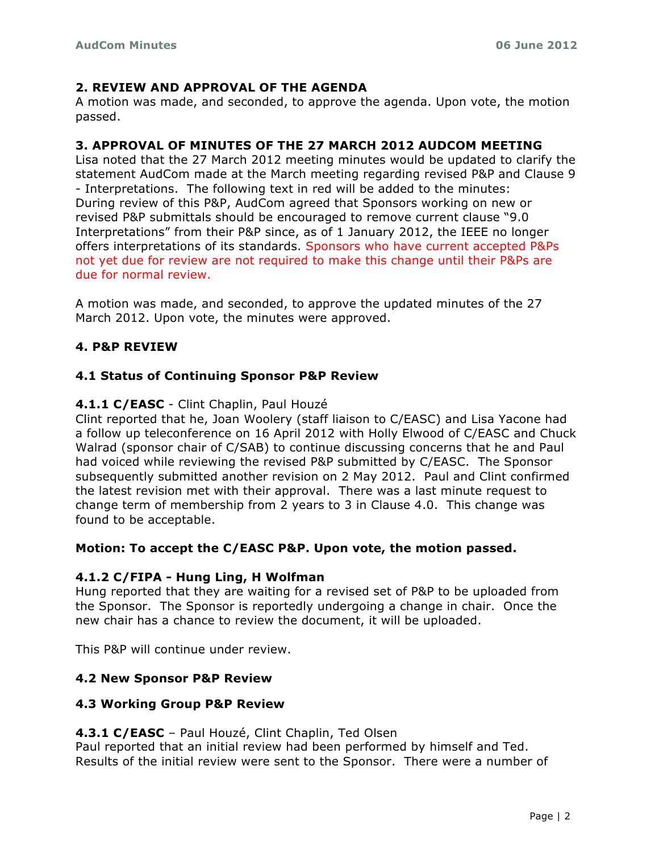## **2. REVIEW AND APPROVAL OF THE AGENDA**

A motion was made, and seconded, to approve the agenda. Upon vote, the motion passed.

## **3. APPROVAL OF MINUTES OF THE 27 MARCH 2012 AUDCOM MEETING**

Lisa noted that the 27 March 2012 meeting minutes would be updated to clarify the statement AudCom made at the March meeting regarding revised P&P and Clause 9 - Interpretations. The following text in red will be added to the minutes: During review of this P&P, AudCom agreed that Sponsors working on new or revised P&P submittals should be encouraged to remove current clause "9.0 Interpretations" from their P&P since, as of 1 January 2012, the IEEE no longer offers interpretations of its standards. Sponsors who have current accepted P&Ps not yet due for review are not required to make this change until their P&Ps are due for normal review.

A motion was made, and seconded, to approve the updated minutes of the 27 March 2012. Upon vote, the minutes were approved.

## **4. P&P REVIEW**

## **4.1 Status of Continuing Sponsor P&P Review**

#### **4.1.1 C/EASC** - Clint Chaplin, Paul Houzé

Clint reported that he, Joan Woolery (staff liaison to C/EASC) and Lisa Yacone had a follow up teleconference on 16 April 2012 with Holly Elwood of C/EASC and Chuck Walrad (sponsor chair of C/SAB) to continue discussing concerns that he and Paul had voiced while reviewing the revised P&P submitted by C/EASC. The Sponsor subsequently submitted another revision on 2 May 2012. Paul and Clint confirmed the latest revision met with their approval. There was a last minute request to change term of membership from 2 years to 3 in Clause 4.0. This change was found to be acceptable.

#### **Motion: To accept the C/EASC P&P. Upon vote, the motion passed.**

#### **4.1.2 C/FIPA - Hung Ling, H Wolfman**!!

Hung reported that they are waiting for a revised set of P&P to be uploaded from the Sponsor. The Sponsor is reportedly undergoing a change in chair. Once the new chair has a chance to review the document, it will be uploaded.

This P&P will continue under review.

#### **4.2 New Sponsor P&P Review**

#### **4.3 Working Group P&P Review**

#### **4.3.1 C/EASC** – Paul Houzé, Clint Chaplin, Ted Olsen

Paul reported that an initial review had been performed by himself and Ted. Results of the initial review were sent to the Sponsor. There were a number of